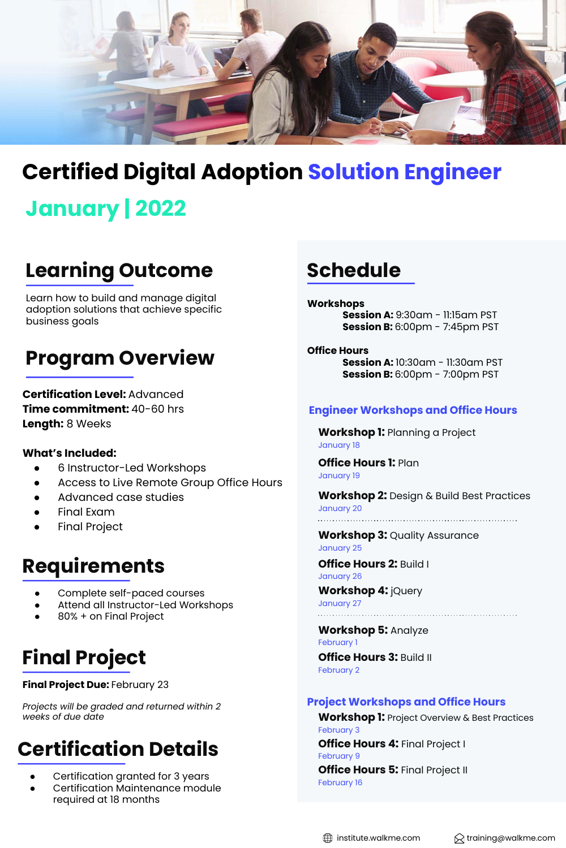

# **Certified Digital Adoption Solution Engineer**

# **January | 2022**

## **Learning Outcome**

Learn how to build and manage digital adoption solutions that achieve specific business goals

### **Program Overview**

**Certification Level:** Advanced **Time commitment:** 40-60 hrs **Length:** 8 Weeks

### **What's Included:**

- 6 Instructor-Led Workshops
- Access to Live Remote Group Office Hours
- Advanced case studies
- **Final Exam**
- **Final Project**

### **Requirements**

- Complete self-paced courses
- Attend all Instructor-Led Workshops
- 80% + on Final Project

# **Final Project**

#### **Final Project Due:** February 23

*Projects will be graded and returned within 2 weeks of due date*

### **Certification Details**

- Certification granted for 3 years
- Certification Maintenance module required at 18 months

### **Schedule**

**Workshops Session A:** 9:30am - 11:15am PST **Session B:** 6:00pm - 7:45pm PST

**Office Hours Session A:** 10:30am - 11:30am PST **Session B:** 6:00pm - 7:00pm PST

#### **Engineer Workshops and Office Hours**

**Workshop 1:** Planning a Project January 18

**Office Hours 1:** Plan January 19

**Workshop 2:** Design & Build Best Practices January 20

**Workshop 3:** Quality Assurance January 25

**Office Hours 2:** Build I January 26

**Workshop 4:** jQuery January 27

**Workshop 5:** Analyze February 1 **Office Hours 3:** Build II February 2

### **Project Workshops and Office Hours**

**Workshop 1:** Project Overview & Best Practices February 3 **Office Hours 4:** Final Project I February 9 **Office Hours 5: Final Project II** February 16

 $\bigoplus$  institute.walkme.com  $\bigotimes$  training@walkme.com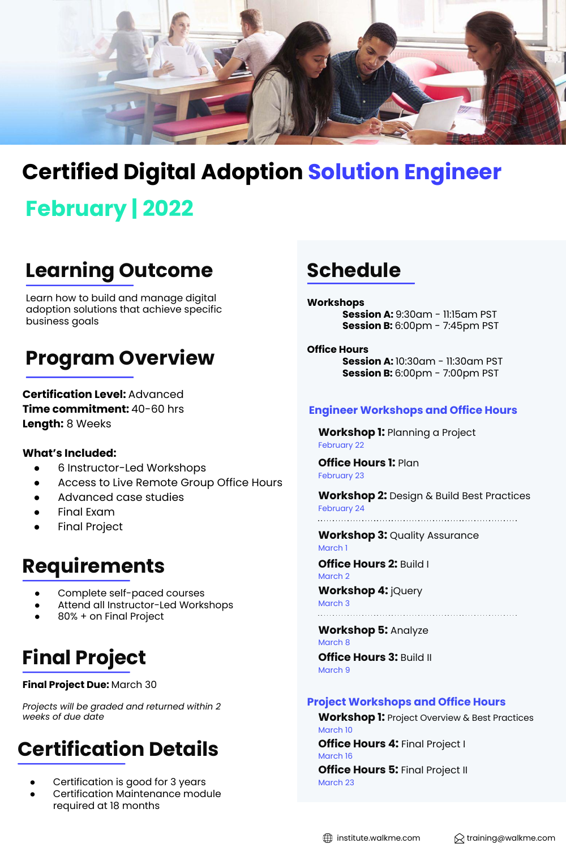

## **Certified Digital Adoption Solution Engineer**

# **February | 2022**

## **Learning Outcome**

Learn how to build and manage digital adoption solutions that achieve specific business goals

### **Program Overview**

**Certification Level:** Advanced **Time commitment:** 40-60 hrs **Length:** 8 Weeks

### **What's Included:**

- 6 Instructor-Led Workshops
- Access to Live Remote Group Office Hours
- Advanced case studies
- **Final Exam**
- 

## **Requirements**

- Complete self-paced courses
- Attend all Instructor-Led Workshops
- 80% + on Final Project

# **Final Project**

#### **Final Project Due:** March 30

*Projects will be graded and returned within 2 weeks of due date*

## **Certification Details**

- Certification is good for 3 years
- Certification Maintenance module required at 18 months

### **Schedule**

**Workshops Session A:** 9:30am - 11:15am PST **Session B:** 6:00pm - 7:45pm PST

**Office Hours Session A:** 10:30am - 11:30am PST **Session B:** 6:00pm - 7:00pm PST

### **Engineer Workshops and Office Hours**

**Workshop 1:** Planning a Project February 22

**Office Hours 1:** Plan February 23

**Workshop 2:** Design & Build Best Practices February 24

● Final Project **Workshop 3:** Quality Assurance March 1

> **Office Hours 2:** Build I March 2

**Workshop 4:** jQuery March 3

**Workshop 5:** Analyze March 8

**Office Hours 3:** Build II March 9

### **Project Workshops and Office Hours**

**Workshop 1:** Project Overview & Best Practices March 10 **Office Hours 4:** Final Project I March 16 **Office Hours 5: Final Project II** 

 $\bigoplus$  institute.walkme.com  $\bigotimes$  training@walkme.com

March 23